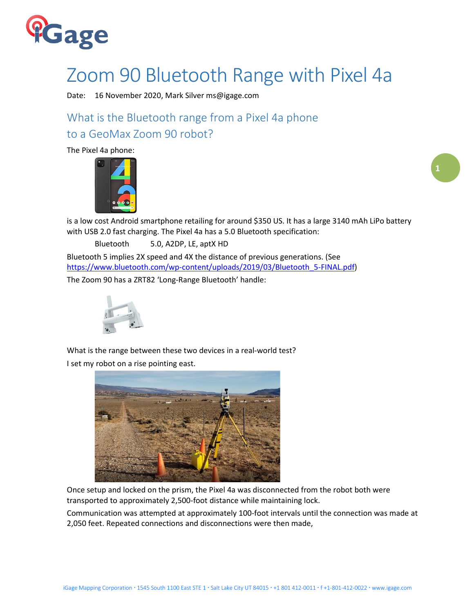

## Zoom 90 Bluetooth Range with Pixel 4a

Date: 16 November 2020, Mark Silver ms@igage.com

What is the Bluetooth range from a Pixel 4a phone to a GeoMax Zoom 90 robot?

The Pixel 4a phone:



is a low cost Android smartphone retailing for around \$350 US. It has a large 3140 mAh LiPo battery with USB 2.0 fast charging. The Pixel 4a has a 5.0 Bluetooth specification:

Bluetooth 5.0, A2DP, LE, aptX HD

Bluetooth 5 implies 2X speed and 4X the distance of previous generations. (See [https://www.bluetooth.com/wp-content/uploads/2019/03/Bluetooth\\_5-FINAL.pdf\)](https://www.bluetooth.com/wp-content/uploads/2019/03/Bluetooth_5-FINAL.pdf)

The Zoom 90 has a ZRT82 'Long-Range Bluetooth' handle:



What is the range between these two devices in a real-world test? I set my robot on a rise pointing east.



Once setup and locked on the prism, the Pixel 4a was disconnected from the robot both were transported to approximately 2,500-foot distance while maintaining lock.

Communication was attempted at approximately 100-foot intervals until the connection was made at 2,050 feet. Repeated connections and disconnections were then made,